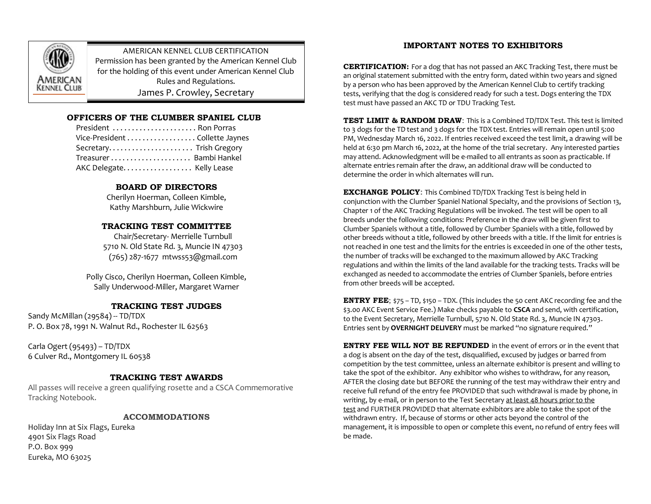

AMERICAN KENNEL CLUB CERTIFICATION Permission has been granted by the American Kennel Club for the holding of this event under American Kennel Club Rules and Regulations. James P. Crowley, Secretary

# **OFFICERS OF THE CLUMBER SPANIEL CLUB**

| President  Ron Porras          |
|--------------------------------|
| Vice-President Collette Jaynes |
| Secretary Trish Gregory        |
| Treasurer Bambi Hankel         |
| AKC Delegate Kelly Lease       |

# **BOARD OF DIRECTORS**

Cherilyn Hoerman, Colleen Kimble, Kathy Marshburn, Julie Wickwire

# **TRACKING TEST COMMITTEE**

Chair/Secretary- Merrielle Turnbull 5710 N. Old State Rd. 3, Muncie IN 47303 (765) 287-1677 mtwss53@gmail.com

Polly Cisco, Cherilyn Hoerman, Colleen Kimble, Sally Underwood-Miller, Margaret Warner

# **TRACKING TEST JUDGES**

Sandy McMillan (29584) -- TD/TDX P. O. Box 78, 1991 N. Walnut Rd., Rochester IL 62563

Carla Ogert (95493) – TD/TDX 6 Culver Rd., Montgomery IL 60538

# **TRACKING TEST AWARDS**

All passes will receive a green qualifying rosette and a CSCA Commemorative Tracking Notebook.

## **ACCOMMODATIONS**

Holiday Inn at Six Flags, Eureka 4901 Six Flags Road P.O. Box 999 Eureka, MO 63025

# **IMPORTANT NOTES TO EXHIBITORS**

**CERTIFICATION:** For a dog that has not passed an AKC Tracking Test, there must be an original statement submitted with the entry form, dated within two years and signed by a person who has been approved by the American Kennel Club to certify tracking tests, verifying that the dog is considered ready for such a test. Dogs entering the TDX test must have passed an AKC TD or TDU Tracking Test.

**TEST LIMIT & RANDOM DRAW**: This is a Combined TD/TDX Test. This test is limited to 3 dogs for the TD test and 3 dogs for the TDX test. Entries will remain open until 5:00 PM, Wednesday March 16, 2022. If entries received exceed the test limit, a drawing will be held at 6:30 pm March 16, 2022, at the home of the trial secretary. Any interested parties may attend. Acknowledgment will be e-mailed to all entrants as soon as practicable. If alternate entries remain after the draw, an additional draw will be conducted to determine the order in which alternates will run.

**EXCHANGE POLICY:** This Combined TD/TDX Tracking Test is being held in conjunction with the Clumber Spaniel National Specialty, and the provisions of Section 13, Chapter 1 of the AKC Tracking Regulations will be invoked. The test will be open to all breeds under the following conditions: Preference in the draw will be given first to Clumber Spaniels without a title, followed by Clumber Spaniels with a title, followed by other breeds without a title, followed by other breeds with a title. If the limit for entries is not reached in one test and the limits for the entries is exceeded in one of the other tests, the number of tracks will be exchanged to the maximum allowed by AKC Tracking regulations and within the limits of the land available for the tracking tests. Tracks will be exchanged as needed to accommodate the entries of Clumber Spaniels, before entries from other breeds will be accepted.

**ENTRY FEE**; \$75 – TD, \$150 – TDX. (This includes the 50 cent AKC recording fee and the \$3.00 AKC Event Service Fee.) Make checks payable to **CSCA** and send, with certification, to the Event Secretary, Merrielle Turnbull, 5710 N. Old State Rd. 3, Muncie IN 47303. Entries sent by **OVERNIGHT DELIVERY** must be marked "no signature required."

**ENTRY FEE WILL NOT BE REFUNDED** in the event of errors or in the event that a dog is absent on the day of the test, disqualified, excused by judges or barred from competition by the test committee, unless an alternate exhibitor is present and willing to take the spot of the exhibitor. Any exhibitor who wishes to withdraw, for any reason, AFTER the closing date but BEFORE the running of the test may withdraw their entry and receive full refund of the entry fee PROVIDED that such withdrawal is made by phone, in writing, by e-mail, or in person to the Test Secretary at least 48 hours prior to the test and FURTHER PROVIDED that alternate exhibitors are able to take the spot of the withdrawn entry. If, because of storms or other acts beyond the control of the management, it is impossible to open or complete this event, no refund of entry fees will be made.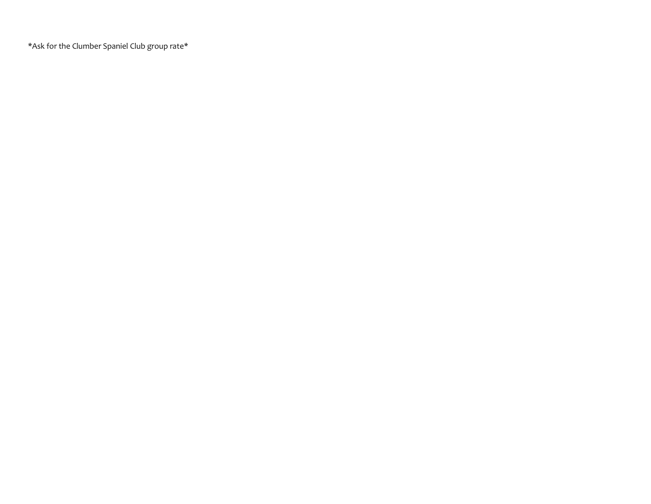\*Ask for the Clumber Spaniel Club group rate\*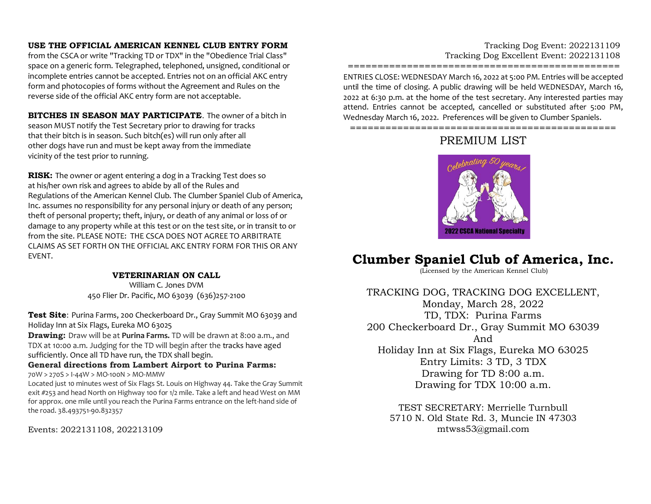# **USE THE OFFICIAL AMERICAN KENNEL CLUB ENTRY FORM**

from the CSCA or write "Tracking TD or TDX" in the "Obedience Trial Class" space on a generic form. Telegraphed, telephoned, unsigned, conditional or incomplete entries cannot be accepted. Entries not on an official AKC entry form and photocopies of forms without the Agreement and Rules on the reverse side of the official AKC entry form are not acceptable.

**BITCHES IN SEASON MAY PARTICIPATE**. The owner of a bitch in season MUST notify the Test Secretary prior to drawing for tracks that their bitch is in season. Such bitch(es) will run only after all other dogs have run and must be kept away from the immediate vicinity of the test prior to running.

**RISK:** The owner or agent entering a dog in a Tracking Test does so at his/her own risk and agrees to abide by all of the Rules and Regulations of the American Kennel Club. The Clumber Spaniel Club of America, Inc. assumes no responsibility for any personal injury or death of any person; theft of personal property; theft, injury, or death of any animal or loss of or damage to any property while at this test or on the test site, or in transit to or from the site. PLEASE NOTE: THE CSCA DOES NOT AGREE TO ARBITRATE CLAIMS AS SET FORTH ON THE OFFICIAL AKC ENTRY FORM FOR THIS OR ANY EVENT.

# **VETERINARIAN ON CALL**

William C. Jones DVM 450 Flier Dr. Pacific, MO 63039 (636)257-2100

**Test Site**: Purina Farms, 200 Checkerboard Dr., Gray Summit MO 63039 and Holiday Inn at Six Flags, Eureka MO 63025

**Drawing:** Draw will be at **Purina Farms.** TD will be drawn at 8:00 a.m., and TDX at 10:00 a.m. Judging for the TD will begin after the tracks have aged sufficiently. Once all TD have run, the TDX shall begin.

### **General directions from Lambert Airport to Purina Farms:** 70W > 270S > I-44W > MO-100N > MO-MMW

Located just 10 minutes west of Six Flags St. Louis on Highway 44. Take the Gray Summit exit #253 and head North on Highway 100 for 1/2 mile. Take a left and head West on MM for approx. one mile until you reach the Purina Farms entrance on the left-hand side of the road. 38.493751-90.832357

Events: 2022131108, 202213109

# Tracking Dog Event: 2022131109 Tracking Dog Excellent Event: 2022131108

============================================== ENTRIES CLOSE: WEDNESDAY March 16, 2022 at 5:00 PM. Entries will be accepted until the time of closing. A public drawing will be held WEDNESDAY, March 16, 2022 at 6:30 p.m. at the home of the test secretary. Any interested parties may attend. Entries cannot be accepted, cancelled or substituted after 5:00 PM, Wednesday March 16, 2022. Preferences will be given to Clumber Spaniels.

=============================================

# PREMIUM LIST



# **Clumber Spaniel Club of America, Inc.**

(Licensed by the American Kennel Club)

TRACKING DOG, TRACKING DOG EXCELLENT, Monday, March 28, 2022 TD, TDX: Purina Farms 200 Checkerboard Dr., Gray Summit MO 63039 And Holiday Inn at Six Flags, Eureka MO 63025 Entry Limits: 3 TD, 3 TDX Drawing for TD 8:00 a.m. Drawing for TDX 10:00 a.m.

TEST SECRETARY: Merrielle Turnbull 5710 N. Old State Rd. 3, Muncie IN 47303 mtwss53@gmail.com